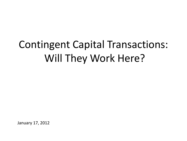# Contingent Capital Transactions: Will They Work Here?

January 17, 2012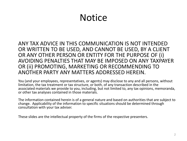## **Notice**

ANY TAX ADVICE IN THIS COMMUNICATION IS NOT INTENDED OR WRITTEN TO BE USED, AND CANNOT BE USED, BY A CLIENT OR ANY OTHER PERSON OR ENTITY FOR THE PURPOSE OF (i) AVOIDING PENALTIES THAT MAY BE IMPOSED ON ANY TAXPAYER OR (ii) PROMOTING, MARKETING OR RECOMMENDING TO ANOTHER PARTY ANY MATTERS ADDRESSED HEREIN.

You (and your employees, representatives, or agents) may disclose to any and all persons, without limitation, the tax treatment or tax structure, or both, of any transaction described in the associated materials we provide to you, including, but not limited to, any tax opinions, memoranda, or other tax analyses contained in those materials.

The information contained herein is of a general nature and based on authorities that are subject to change. Applicability of the information to specific situations should be determined through consultation with your tax adviser.

These slides are the intellectual property of the firms of the respective presenters.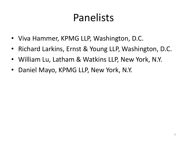# Panelists

- Viva Hammer, KPMG LLP, Washington, D.C.
- Richard Larkins, Ernst & Young LLP, Washington, D.C.
- William Lu, Latham & Watkins LLP, New York, N.Y.
- Daniel Mayo, KPMG LLP, New York, N.Y.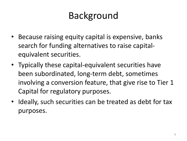## Background

- Because raising equity capital is expensive, banks search for funding alternatives to raise capitalequivalent securities.
- Typically these capital-equivalent securities have been subordinated, long-term debt, sometimes involving a conversion feature, that give rise to Tier 1 Capital for regulatory purposes.
- Ideally, such securities can be treated as debt for tax purposes.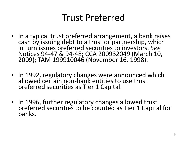#### Trust Preferred

- In a typical trust preferred arrangement, a bank raises cash by issuing debt to a trust or partnership, which in turn issues preferred securities to investors. *See* Notices 94-47 & 94-48; CCA 200932049 (March 10, 2009); TAM 199910046 (November 16, 1998).
- In 1992, regulatory changes were announced which allowed certain non-bank entities to use trust preferred securities as Tier 1 Capital.
- In 1996, further regulatory changes allowed trust preferred securities to be counted as Tier 1 Capital for banks.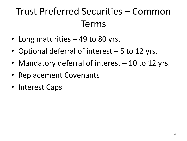# Trust Preferred Securities – Common Terms

- Long maturities 49 to 80 yrs.
- Optional deferral of interest 5 to 12 yrs.
- Mandatory deferral of interest 10 to 12 yrs.
- Replacement Covenants
- Interest Caps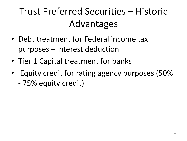# Trust Preferred Securities – Historic Advantages

- Debt treatment for Federal income tax purposes – interest deduction
- Tier 1 Capital treatment for banks
- Equity credit for rating agency purposes (50% - 75% equity credit)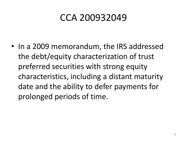#### CCA 200932049

• In a 2009 memorandum, the IRS addressed the debt/equity characterization of trust preferred securities with strong equity characteristics, including a distant maturity date and the ability to defer payments for prolonged periods of time.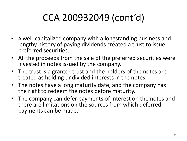# CCA 200932049 (cont'd)

- A well-capitalized company with a longstanding business and lengthy history of paying dividends created a trust to issue preferred securities.
- All the proceeds from the sale of the preferred securities were invested in notes issued by the company.
- The trust is a grantor trust and the holders of the notes are treated as holding undivided interests in the notes.
- The notes have a long maturity date, and the company has the right to redeem the notes before maturity.
- The company can defer payments of interest on the notes and there are limitations on the sources from which deferred payments can be made.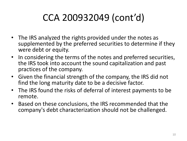# CCA 200932049 (cont'd)

- The IRS analyzed the rights provided under the notes as supplemented by the preferred securities to determine if they were debt or equity.
- In considering the terms of the notes and preferred securities, the IRS took into account the sound capitalization and past practices of the company.
- Given the financial strength of the company, the IRS did not find the long maturity date to be a decisive factor.
- The IRS found the risks of deferral of interest payments to be remote.
- Based on these conclusions, the IRS recommended that the company's debt characterization should not be challenged.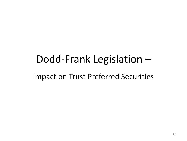# Dodd-Frank Legislation –

Impact on Trust Preferred Securities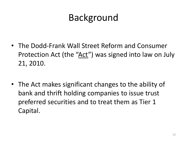## Background

- The Dodd-Frank Wall Street Reform and Consumer Protection Act (the "Act") was signed into law on July 21, 2010.
- The Act makes significant changes to the ability of bank and thrift holding companies to issue trust preferred securities and to treat them as Tier 1 Capital.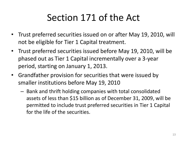## Section 171 of the Act

- Trust preferred securities issued on or after May 19, 2010, will not be eligible for Tier 1 Capital treatment.
- Trust preferred securities issued before May 19, 2010, will be phased out as Tier 1 Capital incrementally over a 3-year period, starting on January 1, 2013.
- Grandfather provision for securities that were issued by smaller institutions before May 19, 2010
	- Bank and thrift holding companies with total consolidated assets of less than \$15 billion as of December 31, 2009, will be permitted to include trust preferred securities in Tier 1 Capital for the life of the securities.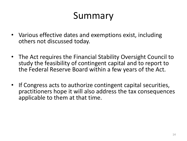#### Summary

- Various effective dates and exemptions exist, including others not discussed today.
- The Act requires the Financial Stability Oversight Council to study the feasibility of contingent capital and to report to the Federal Reserve Board within a few years of the Act.
- If Congress acts to authorize contingent capital securities, practitioners hope it will also address the tax consequences applicable to them at that time.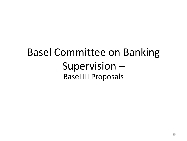## Basel Committee on Banking Supervision – Basel III Proposals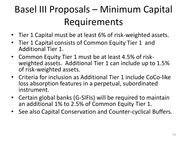# Basel III Proposals – Minimum Capital Requirements

- Tier 1 Capital must be at least 6% of risk-weighted assets.
- Tier 1 Capital consists of Common Equity Tier 1 and Additional Tier 1.
- Common Equity Tier 1 must be at least 4.5% of riskweighted assets. Additional Tier 1 can include up to 1.5% of risk-weighted assets.
- Criteria for inclusion as Additional Tier 1 include CoCo-like loss absorption features in a perpetual, subordinated instrument.
- Certain global banks (G-SIFIs) will be required to maintain an additional 1% to 2.5% of Common Equity Tier 1.
- See also Capital Conservation and Counter-cyclical Buffers.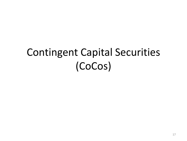# Contingent Capital Securities (CoCos)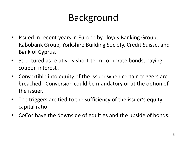# Background

- Issued in recent years in Europe by Lloyds Banking Group, Rabobank Group, Yorkshire Building Society, Credit Suisse, and Bank of Cyprus.
- Structured as relatively short-term corporate bonds, paying coupon interest .
- Convertible into equity of the issuer when certain triggers are breached. Conversion could be mandatory or at the option of the issuer.
- The triggers are tied to the sufficiency of the issuer's equity capital ratio.
- CoCos have the downside of equities and the upside of bonds.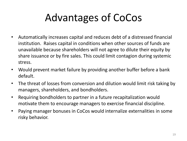# Advantages of CoCos

- Automatically increases capital and reduces debt of a distressed financial institution. Raises capital in conditions when other sources of funds are unavailable because shareholders will not agree to dilute their equity by share issuance or by fire sales. This could limit contagion during systemic stress.
- Would prevent market failure by providing another buffer before a bank default.
- The threat of losses from conversion and dilution would limit risk taking by managers, shareholders, and bondholders.
- Requiring bondholders to partner in a future recapitalization would motivate them to encourage managers to exercise financial discipline.
- Paying manager bonuses in CoCos would internalize externalities in some risky behavior.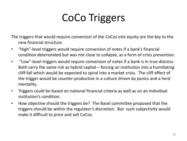# CoCo Triggers

The triggers that would require conversion of the CoCos into equity are the key to the new financial structure.

- "High"-level triggers would require conversion of notes if a bank's financial condition deteriorated but was not close to collapse, as a form of crisis prevention.
- "Low"-level triggers would require conversion of notes if a bank is in true distress. Both carry the same risk as hybrid capital – forcing an institution into a humiliating cliff-fall which would be expected to spiral into a market crisis. The cliff effect of the trigger would be counter-productive in a culture driven by panics and a herd mentality.
- Triggers could be based on national financial criteria as well as on an individual institution's condition.
- How objective should the triggers be? The Basel committee proposed that the triggers should be within the regulator's discretion. But such subjectivity would make it difficult to price and sell CoCos.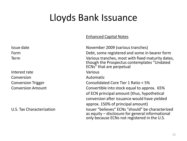## Lloyds Bank Issuance

#### Enhanced Capital Notes

| Issue date                       | November 2009 (various tranches)                                                                                                                                                |
|----------------------------------|---------------------------------------------------------------------------------------------------------------------------------------------------------------------------------|
| Form                             | Debt, some registered and some in bearer form                                                                                                                                   |
| Term                             | Various tranches, most with fixed maturity dates,<br>though the Prospectus contemplates "Undated<br>ECNs" that are perpetual                                                    |
| Interest rate                    | Various                                                                                                                                                                         |
| Conversion                       | Automatic                                                                                                                                                                       |
| <b>Conversion Trigger</b>        | Consolidated Core Tier 1 Ratio < 5%                                                                                                                                             |
| <b>Conversion Amount</b>         | Convertible into stock equal to approx. 65%<br>of ECN principal amount (thus, hypothetical<br>conversion after issuance would have yielded<br>approx. 150% of principal amount) |
| <b>U.S. Tax Characterization</b> | Issuer "believes" ECNs "should" be characterized<br>as equity $-$ disclosure for general informational<br>only because ECNs not registered in the U.S.                          |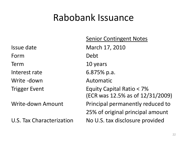#### Rabobank Issuance

Form Debt Term 10 years Interest rate 6.875% p.a. Write -down Automatic

Senior Contingent Notes Issue date March 17, 2010 Trigger Event Equity Capital Ratio < 7% (ECR was 12.5% as of 12/31/2009) Write-down Amount **Principal permanently reduced to** 25% of original principal amount U.S. Tax Characterization No U.S. tax disclosure provided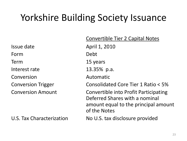## Yorkshire Building Society Issuance

Issue date April 1, 2010 Form Debt Term 15 years Interest rate 13.35% p.a. Conversion Automatic

U.S. Tax Characterization No U.S. tax disclosure provided

Convertible Tier 2 Capital Notes Conversion Trigger Consolidated Core Tier 1 Ratio < 5% Conversion Amount Convertible into Profit Participating Deferred Shares with a nominal amount equal to the principal amount of the Notes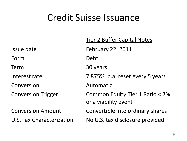#### Credit Suisse Issuance

Issue date February 22, 2011 Form Debt Term 30 years Conversion Automatic

Tier 2 Buffer Capital Notes Interest rate 7.875% p.a. reset every 5 years Conversion Trigger Common Equity Tier 1 Ratio < 7% or a viability event Conversion Amount Convertible into ordinary shares U.S. Tax Characterization No U.S. tax disclosure provided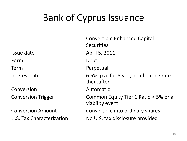## Bank of Cyprus Issuance

Conversion Automatic

Convertible Enhanced Capital **Securities** Issue date April 5, 2011 Form Debt Term Perpetual Interest rate **6.5%** p.a. for 5 yrs., at a floating rate thereafter Conversion Trigger Common Equity Tier 1 Ratio < 5% or a viability event Conversion Amount Convertible into ordinary shares U.S. Tax Characterization No U.S. tax disclosure provided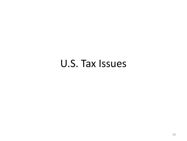#### U.S. Tax Issues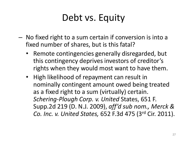## Debt vs. Equity

- No fixed right to a sum certain if conversion is into a fixed number of shares, but is this fatal?
	- Remote contingencies generally disregarded, but this contingency deprives investors of creditor's rights when they would most want to have them.
	- High likelihood of repayment can result in nominally contingent amount owed being treated as a fixed right to a sum (virtually) certain. *Schering-Plough Corp. v. United* States, 651 F. Supp.2d 219 (D. N.J. 2009), *aff'd sub nom., Merck & Co. Inc. v. United States,* 652 F.3d 475 (3rd Cir. 2011).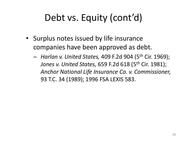## Debt vs. Equity (cont'd)

- Surplus notes issued by life insurance companies have been approved as debt.
	- *Harlan v. United States,* 409 F.2d 904 (5th Cir. 1969); *Jones v. United States, 659 F.2d 618 (5<sup>th</sup> Cir. 1981); Anchor National Life Insurance Co. v. Commissioner,*  93 T.C. 34 (1989); 1996 FSA LEXIS 583.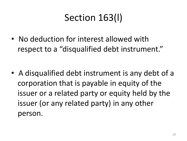# Section 163(l)

• No deduction for interest allowed with respect to a "disqualified debt instrument."

• A disqualified debt instrument is any debt of a corporation that is payable in equity of the issuer or a related party or equity held by the issuer (or any related party) in any other person.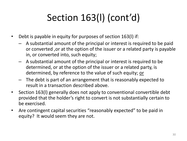# Section 163(l) (cont'd)

- Debt is payable in equity for purposes of section 163(l) if:
	- A substantial amount of the principal or interest is required to be paid or converted ,or at the option of the issuer or a related party is payable in, or converted into, such equity;
	- A substantial amount of the principal or interest is required to be determined, or at the option of the issuer or a related party, is determined, by reference to the value of such equity; or
	- The debt is part of an arrangement that is reasonably expected to result in a transaction described above.
- Section 163(l) generally does not apply to conventional convertible debt provided that the holder's right to convert is not substantially certain to be exercised.
- Are contingent capital securities "reasonably expected" to be paid in equity? It would seem they are not.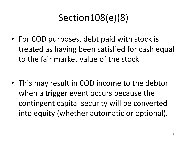# Section108(e)(8)

• For COD purposes, debt paid with stock is treated as having been satisfied for cash equal to the fair market value of the stock.

• This may result in COD income to the debtor when a trigger event occurs because the contingent capital security will be converted into equity (whether automatic or optional).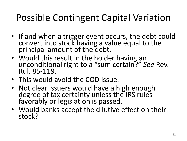## Possible Contingent Capital Variation

- If and when a trigger event occurs, the debt could convert into stock having a value equal to the principal amount of the debt.
- Would this result in the holder having an unconditional right to a "sum certain?" *See* Rev. Rul. 85-119.
- This would avoid the COD issue.
- Not clear issuers would have a high enough degree of tax certainty unless the IRS rules favorably or legislation is passed.
- Would banks accept the dilutive effect on their stock?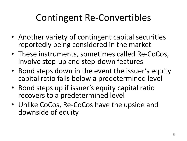## Contingent Re-Convertibles

- Another variety of contingent capital securities reportedly being considered in the market
- These instruments, sometimes called Re-CoCos, involve step-up and step-down features
- Bond steps down in the event the issuer's equity capital ratio falls below a predetermined level
- Bond steps up if issuer's equity capital ratio recovers to a predetermined level
- Unlike CoCos, Re-CoCos have the upside and downside of equity